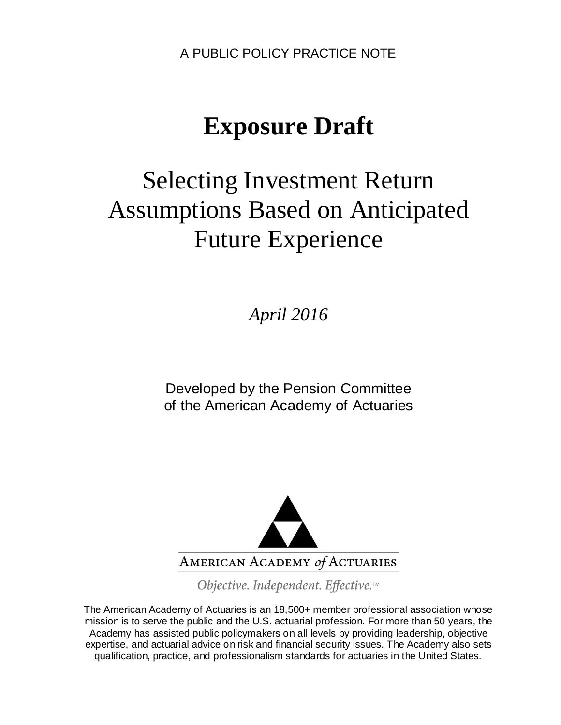A PUBLIC POLICY PRACTICE NOTE

# **Exposure Draft**

# Selecting Investment Return Assumptions Based on Anticipated Future Experience

*April 2016*

Developed by the Pension Committee of the American Academy of Actuaries



Objective. Independent. Effective.™

The American Academy of Actuaries is an 18,500+ member professional association whose mission is to serve the public and the U.S. actuarial profession. For more than 50 years, the Academy has assisted public policymakers on all levels by providing leadership, objective expertise, and actuarial advice on risk and financial security issues. The Academy also sets qualification, practice, and professionalism standards for actuaries in the United States.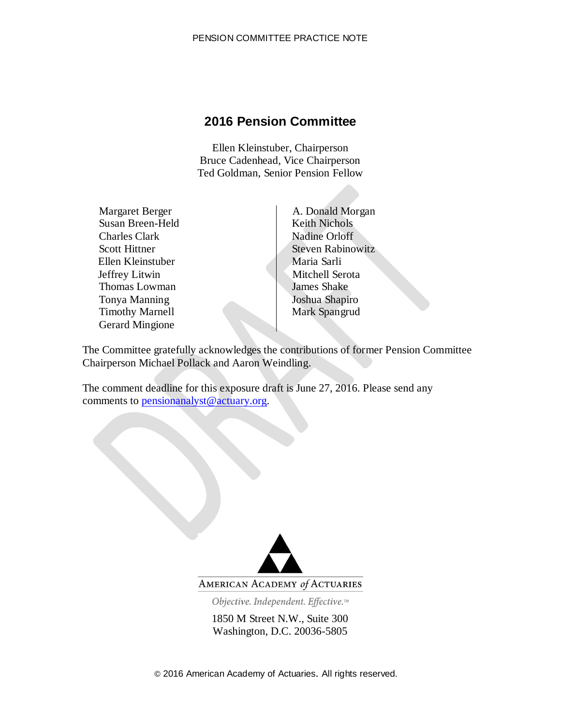### **2016 Pension Committee**

Ellen Kleinstuber, Chairperson Bruce Cadenhead, Vice Chairperson Ted Goldman, Senior Pension Fellow

Margaret Berger **A. Donald Morgan** Susan Breen-Held Keith Nichols Charles Clark Nadine Orloff Ellen Kleinstuber Jeffrey Litwin Thomas Lowman James Shake Tonya Manning Joshua Shapiro Timothy Marnell Gerard Mingione

Scott Hittner Scott Hittner Scott Hittner Scott Hittner Maria Sarli Mitchell Serota Mark Spangrud

The Committee gratefully acknowledges the contributions of former Pension Committee Chairperson Michael Pollack and Aaron Weindling.

The comment deadline for this exposure draft is June 27, 2016. Please send any comments to [pensionanalyst@actuary.org.](mailto:pensionanalyst@actuary.org)



AMERICAN ACADEMY of ACTUARIES

Objective. Independent. Effective.™

1850 M Street N.W., Suite 300 Washington, D.C. 20036-5805

© 2016 American Academy of Actuaries. All rights reserved.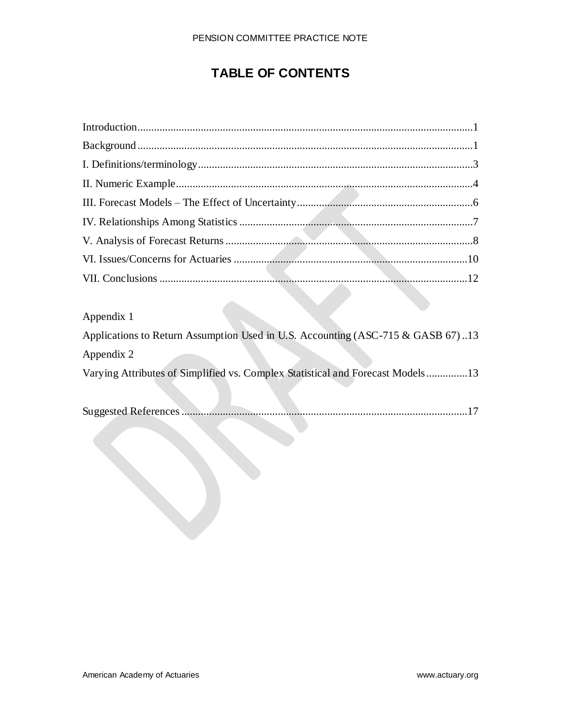### **TABLE OF CONTENTS**

| Appendix 1                                                                      |
|---------------------------------------------------------------------------------|
| Applications to Return Assumption Used in U.S. Accounting (ASC-715 & GASB 67)13 |
| Appendix 2                                                                      |
| Varying Attributes of Simplified vs. Complex Statistical and Forecast Models13  |
|                                                                                 |
|                                                                                 |
|                                                                                 |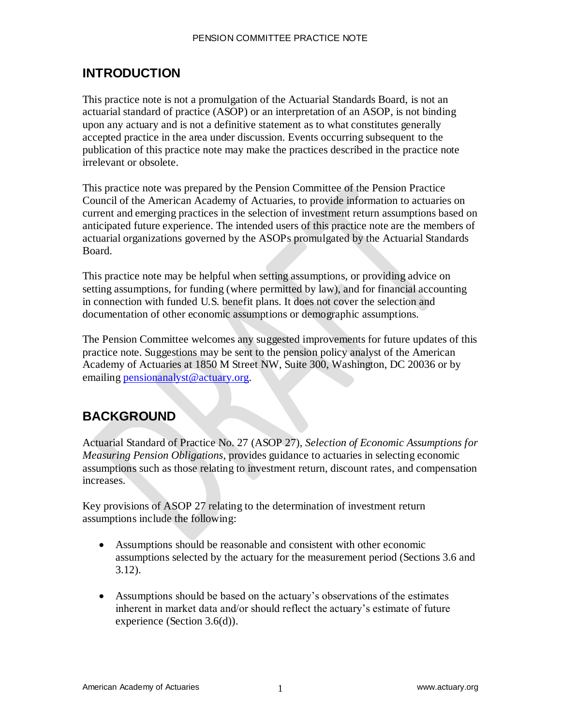### **INTRODUCTION**

This practice note is not a promulgation of the Actuarial Standards Board, is not an actuarial standard of practice (ASOP) or an interpretation of an ASOP, is not binding upon any actuary and is not a definitive statement as to what constitutes generally accepted practice in the area under discussion. Events occurring subsequent to the publication of this practice note may make the practices described in the practice note irrelevant or obsolete.

This practice note was prepared by the Pension Committee of the Pension Practice Council of the American Academy of Actuaries, to provide information to actuaries on current and emerging practices in the selection of investment return assumptions based on anticipated future experience. The intended users of this practice note are the members of actuarial organizations governed by the ASOPs promulgated by the Actuarial Standards Board.

This practice note may be helpful when setting assumptions, or providing advice on setting assumptions, for funding (where permitted by law), and for financial accounting in connection with funded U.S. benefit plans. It does not cover the selection and documentation of other economic assumptions or demographic assumptions.

The Pension Committee welcomes any suggested improvements for future updates of this practice note. Suggestions may be sent to the pension policy analyst of the American Academy of Actuaries at 1850 M Street NW, Suite 300, Washington, DC 20036 or by emailing [pensionanalyst@actuary.org.](mailto:pensionanalyst@actuary.org)

### **BACKGROUND**

Actuarial Standard of Practice No. 27 (ASOP 27), *Selection of Economic Assumptions for Measuring Pension Obligations*, provides guidance to actuaries in selecting economic assumptions such as those relating to investment return, discount rates, and compensation increases.

Key provisions of ASOP 27 relating to the determination of investment return assumptions include the following:

- Assumptions should be reasonable and consistent with other economic assumptions selected by the actuary for the measurement period (Sections 3.6 and 3.12).
- Assumptions should be based on the actuary's observations of the estimates inherent in market data and/or should reflect the actuary's estimate of future experience (Section 3.6(d)).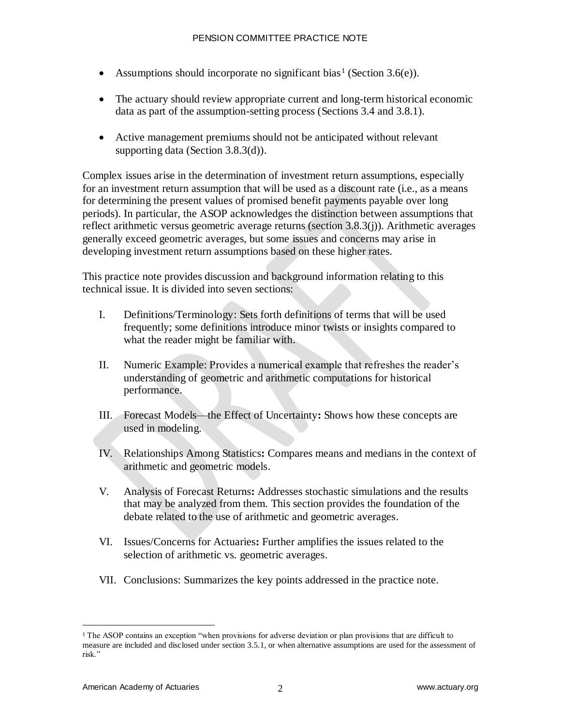- Assumptions should incorporate no significant bias<sup>1</sup> (Section 3.6(e)).
- The actuary should review appropriate current and long-term historical economic data as part of the assumption-setting process (Sections 3.4 and 3.8.1).
- Active management premiums should not be anticipated without relevant supporting data (Section 3.8.3(d)).

Complex issues arise in the determination of investment return assumptions, especially for an investment return assumption that will be used as a discount rate (i.e., as a means for determining the present values of promised benefit payments payable over long periods). In particular, the ASOP acknowledges the distinction between assumptions that reflect arithmetic versus geometric average returns (section 3.8.3(j)). Arithmetic averages generally exceed geometric averages, but some issues and concerns may arise in developing investment return assumptions based on these higher rates.

This practice note provides discussion and background information relating to this technical issue. It is divided into seven sections:

- I. Definitions/Terminology: Sets forth definitions of terms that will be used frequently; some definitions introduce minor twists or insights compared to what the reader might be familiar with.
- II. Numeric Example: Provides a numerical example that refreshes the reader's understanding of geometric and arithmetic computations for historical performance.
- III. Forecast Models—the Effect of Uncertainty**:** Shows how these concepts are used in modeling.
- IV. Relationships Among Statistics**:** Compares means and medians in the context of arithmetic and geometric models.
- V. Analysis of Forecast Returns**:** Addresses stochastic simulations and the results that may be analyzed from them. This section provides the foundation of the debate related to the use of arithmetic and geometric averages.
- VI. Issues/Concerns for Actuaries**:** Further amplifies the issues related to the selection of arithmetic vs. geometric averages.
- VII. Conclusions: Summarizes the key points addressed in the practice note.

<sup>&</sup>lt;sup>1</sup> The ASOP contains an exception "when provisions for adverse deviation or plan provisions that are difficult to measure are included and disclosed under section 3.5.1, or when alternative assumptions are used for the assessment of risk."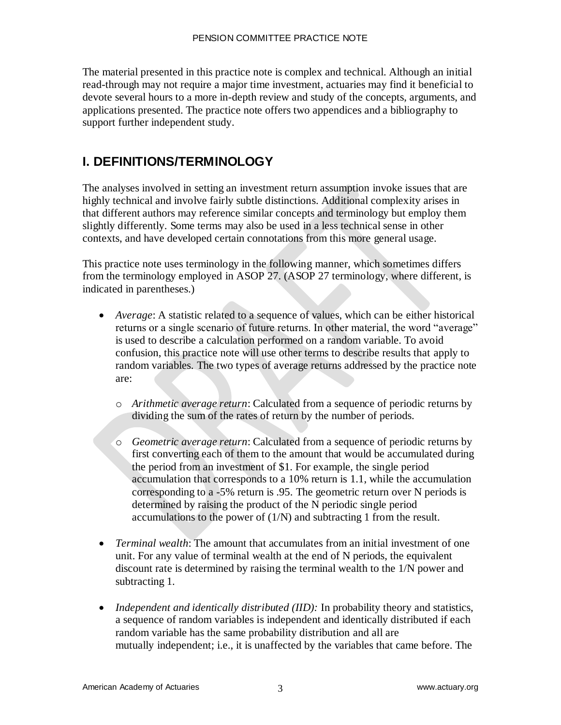The material presented in this practice note is complex and technical. Although an initial read-through may not require a major time investment, actuaries may find it beneficial to devote several hours to a more in-depth review and study of the concepts, arguments, and applications presented. The practice note offers two appendices and a bibliography to support further independent study.

### **I. DEFINITIONS/TERMINOLOGY**

The analyses involved in setting an investment return assumption invoke issues that are highly technical and involve fairly subtle distinctions. Additional complexity arises in that different authors may reference similar concepts and terminology but employ them slightly differently. Some terms may also be used in a less technical sense in other contexts, and have developed certain connotations from this more general usage.

This practice note uses terminology in the following manner, which sometimes differs from the terminology employed in ASOP 27. (ASOP 27 terminology, where different, is indicated in parentheses.)

- *Average*: A statistic related to a sequence of values, which can be either historical returns or a single scenario of future returns. In other material, the word "average" is used to describe a calculation performed on a random variable. To avoid confusion, this practice note will use other terms to describe results that apply to random variables. The two types of average returns addressed by the practice note are:
	- o *Arithmetic average return*: Calculated from a sequence of periodic returns by dividing the sum of the rates of return by the number of periods.
	- o *Geometric average return*: Calculated from a sequence of periodic returns by first converting each of them to the amount that would be accumulated during the period from an investment of \$1. For example, the single period accumulation that corresponds to a 10% return is 1.1, while the accumulation corresponding to a -5% return is .95. The geometric return over N periods is determined by raising the product of the N periodic single period accumulations to the power of (1/N) and subtracting 1 from the result.
- *Terminal wealth*: The amount that accumulates from an initial investment of one unit. For any value of terminal wealth at the end of N periods, the equivalent discount rate is determined by raising the terminal wealth to the 1/N power and subtracting 1.
- *Independent and identically distributed (IID):* In probability theory and statistics, a sequence of random variables is independent and identically distributed if each random variable has the same probability distribution and all are mutually independent; i.e., it is unaffected by the variables that came before. The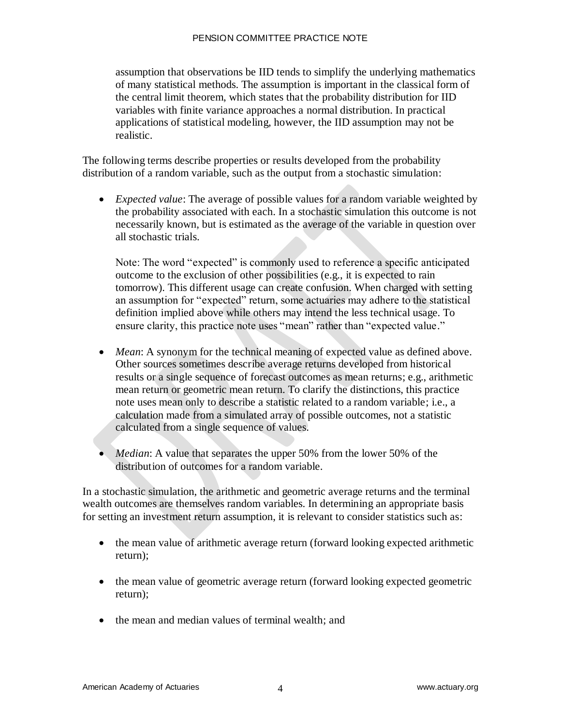#### PENSION COMMITTEE PRACTICE NOTE

assumption that observations be IID tends to simplify the underlying mathematics of many statistical methods. The assumption is important in the classical form of the central limit theorem, which states that the probability distribution for IID variables with finite variance approaches a normal distribution. In practical applications of statistical modeling, however, the IID assumption may not be realistic.

The following terms describe properties or results developed from the probability distribution of a random variable, such as the output from a stochastic simulation:

 *Expected value*: The average of possible values for a random variable weighted by the probability associated with each. In a stochastic simulation this outcome is not necessarily known, but is estimated as the average of the variable in question over all stochastic trials.

Note: The word "expected" is commonly used to reference a specific anticipated outcome to the exclusion of other possibilities (e.g., it is expected to rain tomorrow). This different usage can create confusion. When charged with setting an assumption for "expected" return, some actuaries may adhere to the statistical definition implied above while others may intend the less technical usage. To ensure clarity, this practice note uses "mean" rather than "expected value."

- *Mean*: A synonym for the technical meaning of expected value as defined above. Other sources sometimes describe average returns developed from historical results or a single sequence of forecast outcomes as mean returns; e.g., arithmetic mean return or geometric mean return. To clarify the distinctions, this practice note uses mean only to describe a statistic related to a random variable; i.e., a calculation made from a simulated array of possible outcomes, not a statistic calculated from a single sequence of values.
- *Median*: A value that separates the upper 50% from the lower 50% of the distribution of outcomes for a random variable.

In a stochastic simulation, the arithmetic and geometric average returns and the terminal wealth outcomes are themselves random variables. In determining an appropriate basis for setting an investment return assumption, it is relevant to consider statistics such as:

- the mean value of arithmetic average return (forward looking expected arithmetic return);
- the mean value of geometric average return (forward looking expected geometric return);
- the mean and median values of terminal wealth; and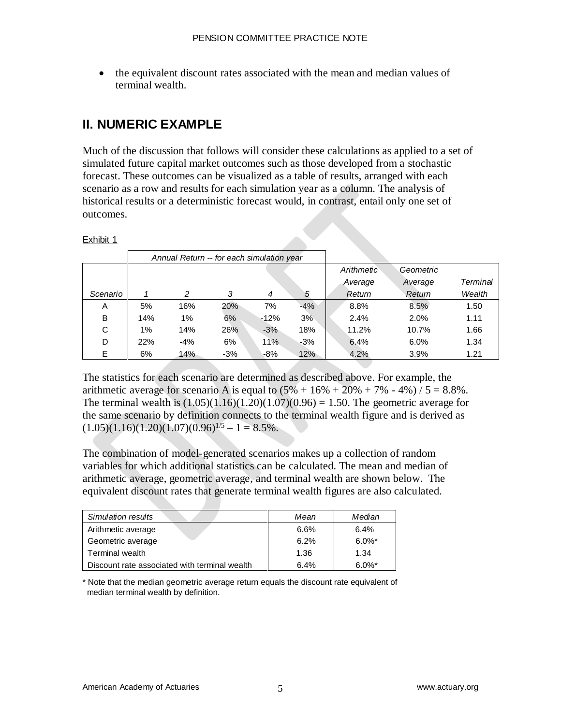• the equivalent discount rates associated with the mean and median values of terminal wealth.

### **II. NUMERIC EXAMPLE**

Much of the discussion that follows will consider these calculations as applied to a set of simulated future capital market outcomes such as those developed from a stochastic forecast. These outcomes can be visualized as a table of results, arranged with each scenario as a row and results for each simulation year as a column. The analysis of historical results or a deterministic forecast would, in contrast, entail only one set of outcomes.

#### Exhibit 1

|          | Annual Return -- for each simulation year |       |       |        |       |            |           |          |
|----------|-------------------------------------------|-------|-------|--------|-------|------------|-----------|----------|
|          |                                           |       |       |        |       | Arithmetic | Geometric |          |
|          |                                           |       |       |        |       | Average    | Average   | Terminal |
| Scenario |                                           | 2     | 3     | 4      | 5     | Return     | Return    | Wealth   |
| Α        | 5%                                        | 16%   | 20%   | 7%     | $-4%$ | 8.8%       | 8.5%      | 1.50     |
| B        | 14%                                       | 1%    | 6%    | $-12%$ | 3%    | 2.4%       | 2.0%      | 1.11     |
| С        | 1%                                        | 14%   | 26%   | $-3%$  | 18%   | 11.2%      | 10.7%     | 1.66     |
| D        | 22%                                       | $-4%$ | 6%    | 11%    | $-3%$ | 6.4%       | 6.0%      | 1.34     |
| Е        | 6%                                        | 14%   | $-3%$ | $-8%$  | 12%   | 4.2%       | 3.9%      | 1.21     |

The statistics for each scenario are determined as described above. For example, the arithmetic average for scenario A is equal to  $(5\% + 16\% + 20\% + 7\% - 4\%) / 5 = 8.8\%$ . The terminal wealth is  $(1.05)(1.16)(1.20)(1.07)(0.96) = 1.50$ . The geometric average for the same scenario by definition connects to the terminal wealth figure and is derived as  $(1.05)(1.16)(1.20)(1.07)(0.96)^{1/5} - 1 = 8.5\%$ .

The combination of model-generated scenarios makes up a collection of random variables for which additional statistics can be calculated. The mean and median of arithmetic average, geometric average, and terminal wealth are shown below. The equivalent discount rates that generate terminal wealth figures are also calculated.

| Simulation results                            | Mean | Median    |
|-----------------------------------------------|------|-----------|
| Arithmetic average                            | 6.6% | 6.4%      |
| Geometric average                             | 6.2% | $6.0\%$ * |
| Terminal wealth                               | 1.36 | 1.34      |
| Discount rate associated with terminal wealth | 6.4% | $6.0\%$ * |

\* Note that the median geometric average return equals the discount rate equivalent of median terminal wealth by definition.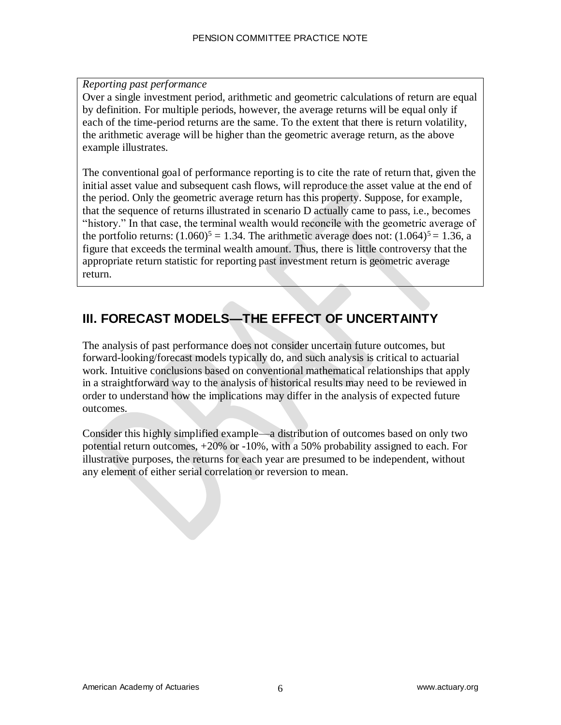#### *Reporting past performance*

Over a single investment period, arithmetic and geometric calculations of return are equal by definition. For multiple periods, however, the average returns will be equal only if each of the time-period returns are the same. To the extent that there is return volatility, the arithmetic average will be higher than the geometric average return, as the above example illustrates.

The conventional goal of performance reporting is to cite the rate of return that, given the initial asset value and subsequent cash flows, will reproduce the asset value at the end of the period. Only the geometric average return has this property. Suppose, for example, that the sequence of returns illustrated in scenario D actually came to pass, i.e., becomes "history." In that case, the terminal wealth would reconcile with the geometric average of the portfolio returns:  $(1.060)^5 = 1.34$ . The arithmetic average does not:  $(1.064)^5 = 1.36$ , a figure that exceeds the terminal wealth amount. Thus, there is little controversy that the appropriate return statistic for reporting past investment return is geometric average return.

### **III. FORECAST MODELS—THE EFFECT OF UNCERTAINTY**

The analysis of past performance does not consider uncertain future outcomes, but forward-looking/forecast models typically do, and such analysis is critical to actuarial work. Intuitive conclusions based on conventional mathematical relationships that apply in a straightforward way to the analysis of historical results may need to be reviewed in order to understand how the implications may differ in the analysis of expected future outcomes.

Consider this highly simplified example—a distribution of outcomes based on only two potential return outcomes, +20% or -10%, with a 50% probability assigned to each. For illustrative purposes, the returns for each year are presumed to be independent, without any element of either serial correlation or reversion to mean.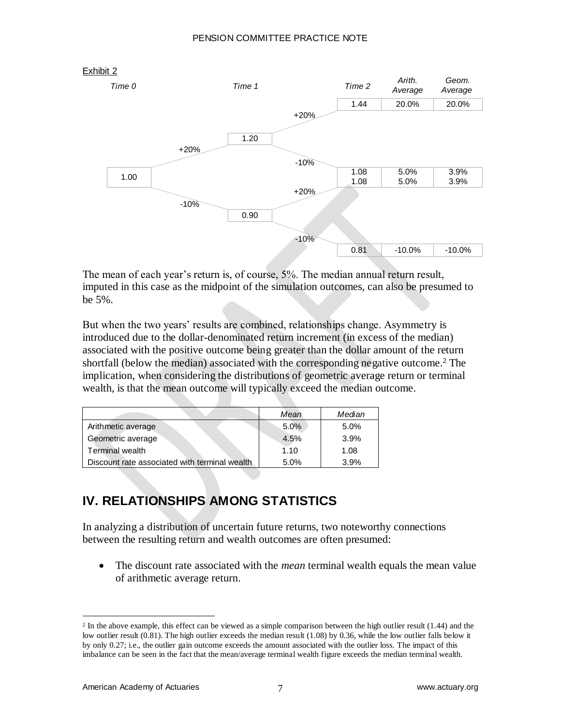

The mean of each year's return is, of course, 5%. The median annual return result, imputed in this case as the midpoint of the simulation outcomes, can also be presumed to be 5%.

But when the two years' results are combined, relationships change. Asymmetry is introduced due to the dollar-denominated return increment (in excess of the median) associated with the positive outcome being greater than the dollar amount of the return shortfall (below the median) associated with the corresponding negative outcome.<sup>2</sup> The implication, when considering the distributions of geometric average return or terminal wealth, is that the mean outcome will typically exceed the median outcome.

|                                               | Mean | Median |
|-----------------------------------------------|------|--------|
| Arithmetic average                            | 5.0% | 5.0%   |
| Geometric average                             | 4.5% | 3.9%   |
| <b>Terminal wealth</b>                        | 1.10 | 1.08   |
| Discount rate associated with terminal wealth | 5.0% | 3.9%   |

# **IV. RELATIONSHIPS AMONG STATISTICS**

In analyzing a distribution of uncertain future returns, two noteworthy connections between the resulting return and wealth outcomes are often presumed:

 The discount rate associated with the *mean* terminal wealth equals the mean value of arithmetic average return.

<sup>&</sup>lt;sup>2</sup> In the above example, this effect can be viewed as a simple comparison between the high outlier result (1.44) and the low outlier result (0.81). The high outlier exceeds the median result (1.08) by 0.36, while the low outlier falls below it by only 0.27; i.e., the outlier gain outcome exceeds the amount associated with the outlier loss. The impact of this imbalance can be seen in the fact that the mean/average terminal wealth figure exceeds the median terminal wealth.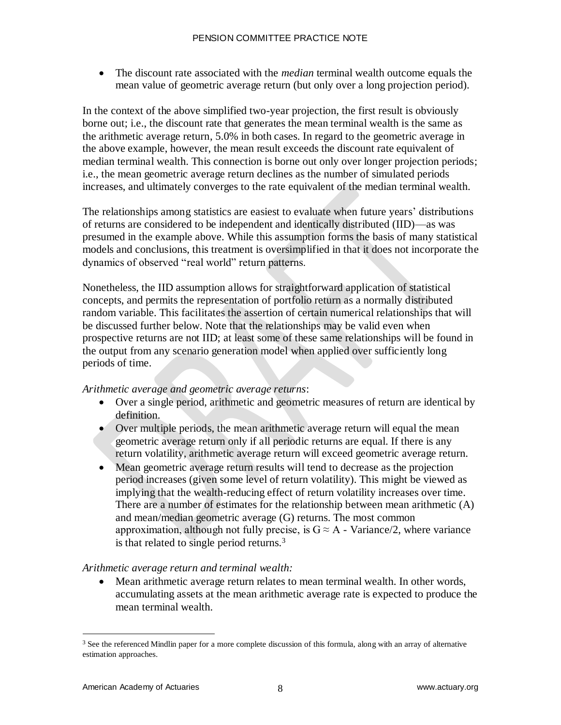The discount rate associated with the *median* terminal wealth outcome equals the mean value of geometric average return (but only over a long projection period).

In the context of the above simplified two-year projection, the first result is obviously borne out; i.e., the discount rate that generates the mean terminal wealth is the same as the arithmetic average return, 5.0% in both cases. In regard to the geometric average in the above example, however, the mean result exceeds the discount rate equivalent of median terminal wealth. This connection is borne out only over longer projection periods; i.e., the mean geometric average return declines as the number of simulated periods increases, and ultimately converges to the rate equivalent of the median terminal wealth.

The relationships among statistics are easiest to evaluate when future years' distributions of returns are considered to be independent and identically distributed (IID)—as was presumed in the example above. While this assumption forms the basis of many statistical models and conclusions, this treatment is oversimplified in that it does not incorporate the dynamics of observed "real world" return patterns.

Nonetheless, the IID assumption allows for straightforward application of statistical concepts, and permits the representation of portfolio return as a normally distributed random variable. This facilitates the assertion of certain numerical relationships that will be discussed further below. Note that the relationships may be valid even when prospective returns are not IID; at least some of these same relationships will be found in the output from any scenario generation model when applied over sufficiently long periods of time.

#### *Arithmetic average and geometric average returns*:

- Over a single period, arithmetic and geometric measures of return are identical by definition.
- Over multiple periods, the mean arithmetic average return will equal the mean geometric average return only if all periodic returns are equal. If there is any return volatility, arithmetic average return will exceed geometric average return.
- Mean geometric average return results will tend to decrease as the projection period increases (given some level of return volatility). This might be viewed as implying that the wealth-reducing effect of return volatility increases over time. There are a number of estimates for the relationship between mean arithmetic (A) and mean/median geometric average (G) returns. The most common approximation, although not fully precise, is  $G \approx A$  - Variance/2, where variance is that related to single period returns.<sup>3</sup>

#### *Arithmetic average return and terminal wealth:*

 Mean arithmetic average return relates to mean terminal wealth. In other words, accumulating assets at the mean arithmetic average rate is expected to produce the mean terminal wealth.

<sup>&</sup>lt;sup>3</sup> See the referenced Mindlin paper for a more complete discussion of this formula, along with an array of alternative estimation approaches.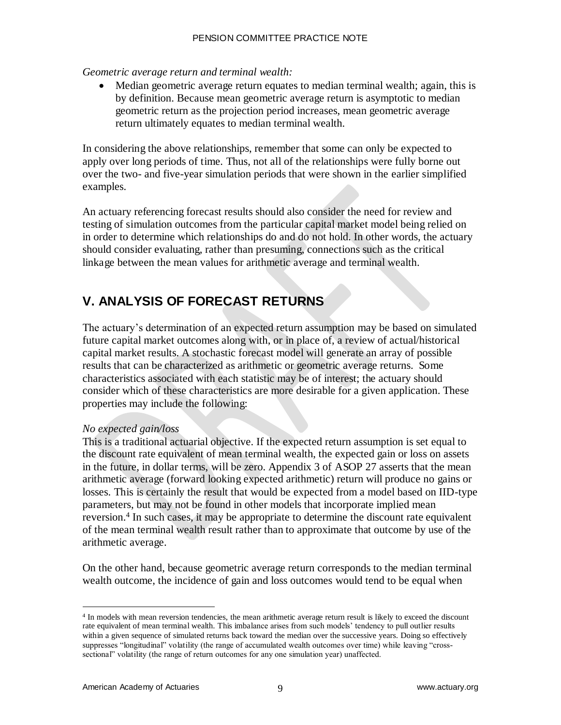#### *Geometric average return and terminal wealth:*

• Median geometric average return equates to median terminal wealth; again, this is by definition. Because mean geometric average return is asymptotic to median geometric return as the projection period increases, mean geometric average return ultimately equates to median terminal wealth.

In considering the above relationships, remember that some can only be expected to apply over long periods of time. Thus, not all of the relationships were fully borne out over the two- and five-year simulation periods that were shown in the earlier simplified examples.

An actuary referencing forecast results should also consider the need for review and testing of simulation outcomes from the particular capital market model being relied on in order to determine which relationships do and do not hold. In other words, the actuary should consider evaluating, rather than presuming, connections such as the critical linkage between the mean values for arithmetic average and terminal wealth.

## **V. ANALYSIS OF FORECAST RETURNS**

The actuary's determination of an expected return assumption may be based on simulated future capital market outcomes along with, or in place of, a review of actual/historical capital market results. A stochastic forecast model will generate an array of possible results that can be characterized as arithmetic or geometric average returns. Some characteristics associated with each statistic may be of interest; the actuary should consider which of these characteristics are more desirable for a given application. These properties may include the following:

### *No expected gain/loss*

This is a traditional actuarial objective. If the expected return assumption is set equal to the discount rate equivalent of mean terminal wealth, the expected gain or loss on assets in the future, in dollar terms, will be zero. Appendix 3 of ASOP 27 asserts that the mean arithmetic average (forward looking expected arithmetic) return will produce no gains or losses. This is certainly the result that would be expected from a model based on IID-type parameters, but may not be found in other models that incorporate implied mean reversion.<sup>4</sup> In such cases, it may be appropriate to determine the discount rate equivalent of the mean terminal wealth result rather than to approximate that outcome by use of the arithmetic average.

On the other hand, because geometric average return corresponds to the median terminal wealth outcome, the incidence of gain and loss outcomes would tend to be equal when

<sup>4</sup> In models with mean reversion tendencies, the mean arithmetic average return result is likely to exceed the discount rate equivalent of mean terminal wealth. This imbalance arises from such models' tendency to pull outlier results within a given sequence of simulated returns back toward the median over the successive years. Doing so effectively suppresses "longitudinal" volatility (the range of accumulated wealth outcomes over time) while leaving "crosssectional" volatility (the range of return outcomes for any one simulation year) unaffected.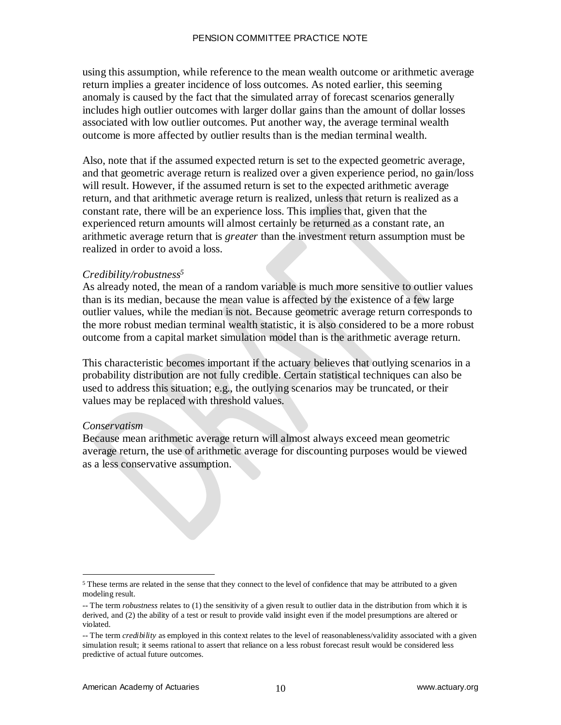using this assumption, while reference to the mean wealth outcome or arithmetic average return implies a greater incidence of loss outcomes. As noted earlier, this seeming anomaly is caused by the fact that the simulated array of forecast scenarios generally includes high outlier outcomes with larger dollar gains than the amount of dollar losses associated with low outlier outcomes. Put another way, the average terminal wealth outcome is more affected by outlier results than is the median terminal wealth.

Also, note that if the assumed expected return is set to the expected geometric average, and that geometric average return is realized over a given experience period, no gain/loss will result. However, if the assumed return is set to the expected arithmetic average return, and that arithmetic average return is realized, unless that return is realized as a constant rate, there will be an experience loss. This implies that, given that the experienced return amounts will almost certainly be returned as a constant rate, an arithmetic average return that is *greater* than the investment return assumption must be realized in order to avoid a loss.

#### *Credibility/robustness<sup>5</sup>*

As already noted, the mean of a random variable is much more sensitive to outlier values than is its median, because the mean value is affected by the existence of a few large outlier values, while the median is not. Because geometric average return corresponds to the more robust median terminal wealth statistic, it is also considered to be a more robust outcome from a capital market simulation model than is the arithmetic average return.

This characteristic becomes important if the actuary believes that outlying scenarios in a probability distribution are not fully credible. Certain statistical techniques can also be used to address this situation; e.g., the outlying scenarios may be truncated, or their values may be replaced with threshold values.

#### *Conservatism*

Because mean arithmetic average return will almost always exceed mean geometric average return, the use of arithmetic average for discounting purposes would be viewed as a less conservative assumption.

 $\overline{a}$ <sup>5</sup> These terms are related in the sense that they connect to the level of confidence that may be attributed to a given modeling result.

<sup>--</sup> The term *robustness* relates to (1) the sensitivity of a given result to outlier data in the distribution from which it is derived, and (2) the ability of a test or result to provide valid insight even if the model presumptions are altered or violated.

<sup>--</sup> The term *credibility* as employed in this context relates to the level of reasonableness/validity associated with a given simulation result; it seems rational to assert that reliance on a less robust forecast result would be considered less predictive of actual future outcomes.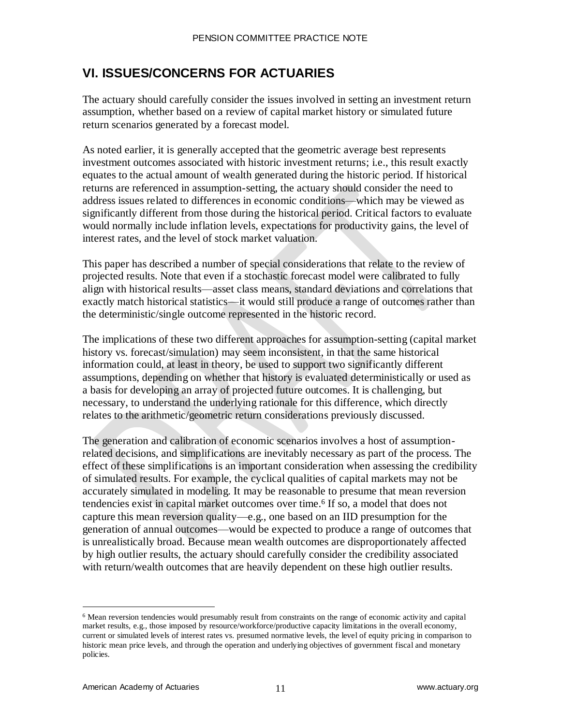### **VI. ISSUES/CONCERNS FOR ACTUARIES**

The actuary should carefully consider the issues involved in setting an investment return assumption, whether based on a review of capital market history or simulated future return scenarios generated by a forecast model.

As noted earlier, it is generally accepted that the geometric average best represents investment outcomes associated with historic investment returns; i.e., this result exactly equates to the actual amount of wealth generated during the historic period. If historical returns are referenced in assumption-setting, the actuary should consider the need to address issues related to differences in economic conditions—which may be viewed as significantly different from those during the historical period. Critical factors to evaluate would normally include inflation levels, expectations for productivity gains, the level of interest rates, and the level of stock market valuation.

This paper has described a number of special considerations that relate to the review of projected results. Note that even if a stochastic forecast model were calibrated to fully align with historical results—asset class means, standard deviations and correlations that exactly match historical statistics—it would still produce a range of outcomes rather than the deterministic/single outcome represented in the historic record.

The implications of these two different approaches for assumption-setting (capital market history vs. forecast/simulation) may seem inconsistent, in that the same historical information could, at least in theory, be used to support two significantly different assumptions, depending on whether that history is evaluated deterministically or used as a basis for developing an array of projected future outcomes. It is challenging, but necessary, to understand the underlying rationale for this difference, which directly relates to the arithmetic/geometric return considerations previously discussed.

The generation and calibration of economic scenarios involves a host of assumptionrelated decisions, and simplifications are inevitably necessary as part of the process. The effect of these simplifications is an important consideration when assessing the credibility of simulated results. For example, the cyclical qualities of capital markets may not be accurately simulated in modeling. It may be reasonable to presume that mean reversion tendencies exist in capital market outcomes over time.<sup>6</sup> If so, a model that does not capture this mean reversion quality—e.g., one based on an IID presumption for the generation of annual outcomes—would be expected to produce a range of outcomes that is unrealistically broad. Because mean wealth outcomes are disproportionately affected by high outlier results, the actuary should carefully consider the credibility associated with return/wealth outcomes that are heavily dependent on these high outlier results.

<sup>&</sup>lt;sup>6</sup> Mean reversion tendencies would presumably result from constraints on the range of economic activity and capital market results, e.g., those imposed by resource/workforce/productive capacity limitations in the overall economy, current or simulated levels of interest rates vs. presumed normative levels, the level of equity pricing in comparison to historic mean price levels, and through the operation and underlying objectives of government fiscal and monetary policies.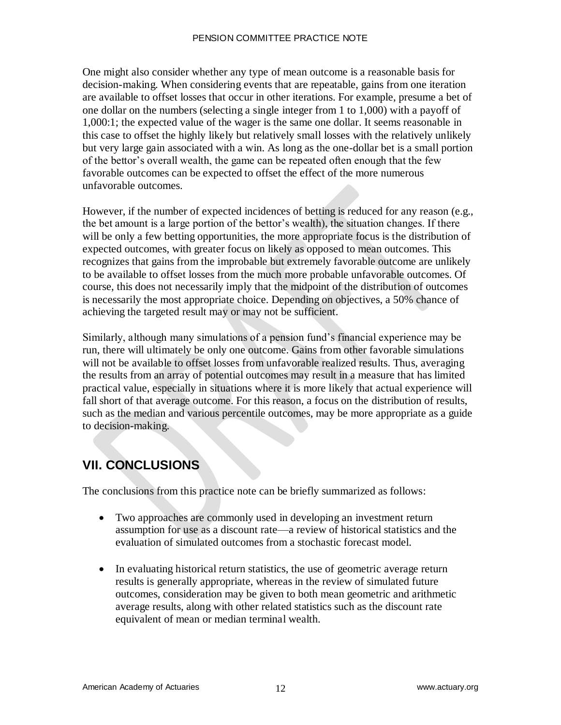#### PENSION COMMITTEE PRACTICE NOTE

One might also consider whether any type of mean outcome is a reasonable basis for decision-making. When considering events that are repeatable, gains from one iteration are available to offset losses that occur in other iterations. For example, presume a bet of one dollar on the numbers (selecting a single integer from 1 to 1,000) with a payoff of 1,000:1; the expected value of the wager is the same one dollar. It seems reasonable in this case to offset the highly likely but relatively small losses with the relatively unlikely but very large gain associated with a win. As long as the one-dollar bet is a small portion of the bettor's overall wealth, the game can be repeated often enough that the few favorable outcomes can be expected to offset the effect of the more numerous unfavorable outcomes.

However, if the number of expected incidences of betting is reduced for any reason (e.g., the bet amount is a large portion of the bettor's wealth), the situation changes. If there will be only a few betting opportunities, the more appropriate focus is the distribution of expected outcomes, with greater focus on likely as opposed to mean outcomes. This recognizes that gains from the improbable but extremely favorable outcome are unlikely to be available to offset losses from the much more probable unfavorable outcomes. Of course, this does not necessarily imply that the midpoint of the distribution of outcomes is necessarily the most appropriate choice. Depending on objectives, a 50% chance of achieving the targeted result may or may not be sufficient.

Similarly, although many simulations of a pension fund's financial experience may be run, there will ultimately be only one outcome. Gains from other favorable simulations will not be available to offset losses from unfavorable realized results. Thus, averaging the results from an array of potential outcomes may result in a measure that has limited practical value, especially in situations where it is more likely that actual experience will fall short of that average outcome. For this reason, a focus on the distribution of results, such as the median and various percentile outcomes, may be more appropriate as a guide to decision-making.

# **VII. CONCLUSIONS**

The conclusions from this practice note can be briefly summarized as follows:

- Two approaches are commonly used in developing an investment return assumption for use as a discount rate—a review of historical statistics and the evaluation of simulated outcomes from a stochastic forecast model.
- In evaluating historical return statistics, the use of geometric average return results is generally appropriate, whereas in the review of simulated future outcomes, consideration may be given to both mean geometric and arithmetic average results, along with other related statistics such as the discount rate equivalent of mean or median terminal wealth.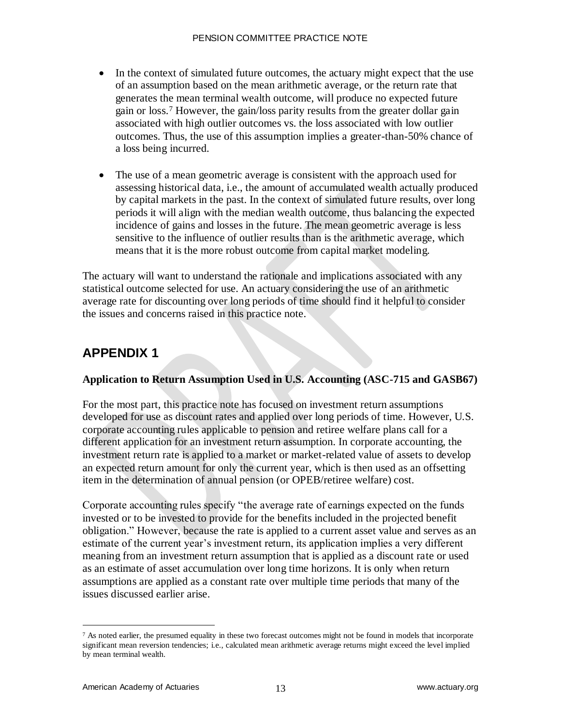- In the context of simulated future outcomes, the actuary might expect that the use of an assumption based on the mean arithmetic average, or the return rate that generates the mean terminal wealth outcome, will produce no expected future gain or loss.<sup>7</sup> However, the gain/loss parity results from the greater dollar gain associated with high outlier outcomes vs. the loss associated with low outlier outcomes. Thus, the use of this assumption implies a greater-than-50% chance of a loss being incurred.
- The use of a mean geometric average is consistent with the approach used for assessing historical data, i.e., the amount of accumulated wealth actually produced by capital markets in the past. In the context of simulated future results, over long periods it will align with the median wealth outcome, thus balancing the expected incidence of gains and losses in the future. The mean geometric average is less sensitive to the influence of outlier results than is the arithmetic average, which means that it is the more robust outcome from capital market modeling.

The actuary will want to understand the rationale and implications associated with any statistical outcome selected for use. An actuary considering the use of an arithmetic average rate for discounting over long periods of time should find it helpful to consider the issues and concerns raised in this practice note.

### **APPENDIX 1**

### **Application to Return Assumption Used in U.S. Accounting (ASC-715 and GASB67)**

For the most part, this practice note has focused on investment return assumptions developed for use as discount rates and applied over long periods of time. However, U.S. corporate accounting rules applicable to pension and retiree welfare plans call for a different application for an investment return assumption. In corporate accounting, the investment return rate is applied to a market or market-related value of assets to develop an expected return amount for only the current year, which is then used as an offsetting item in the determination of annual pension (or OPEB/retiree welfare) cost.

Corporate accounting rules specify "the average rate of earnings expected on the funds invested or to be invested to provide for the benefits included in the projected benefit obligation." However, because the rate is applied to a current asset value and serves as an estimate of the current year's investment return, its application implies a very different meaning from an investment return assumption that is applied as a discount rate or used as an estimate of asset accumulation over long time horizons. It is only when return assumptions are applied as a constant rate over multiple time periods that many of the issues discussed earlier arise.

 $7$  As noted earlier, the presumed equality in these two forecast outcomes might not be found in models that incorporate significant mean reversion tendencies; i.e., calculated mean arithmetic average returns might exceed the level implied by mean terminal wealth.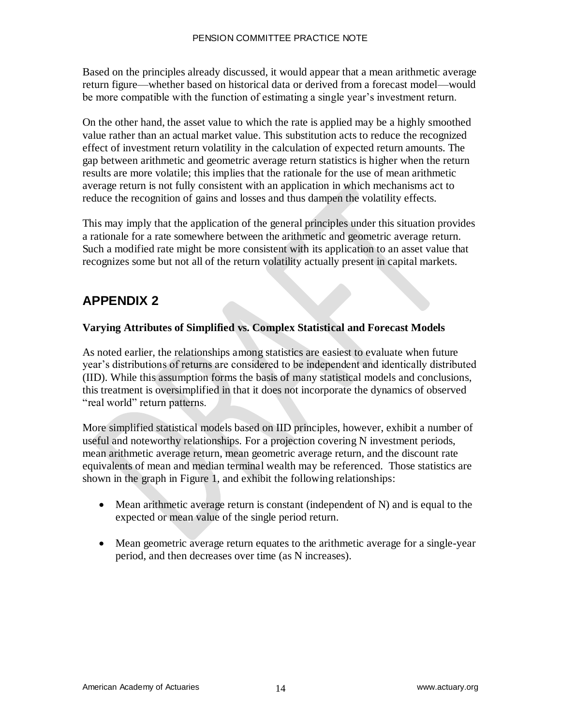Based on the principles already discussed, it would appear that a mean arithmetic average return figure—whether based on historical data or derived from a forecast model—would be more compatible with the function of estimating a single year's investment return.

On the other hand, the asset value to which the rate is applied may be a highly smoothed value rather than an actual market value. This substitution acts to reduce the recognized effect of investment return volatility in the calculation of expected return amounts. The gap between arithmetic and geometric average return statistics is higher when the return results are more volatile; this implies that the rationale for the use of mean arithmetic average return is not fully consistent with an application in which mechanisms act to reduce the recognition of gains and losses and thus dampen the volatility effects.

This may imply that the application of the general principles under this situation provides a rationale for a rate somewhere between the arithmetic and geometric average return. Such a modified rate might be more consistent with its application to an asset value that recognizes some but not all of the return volatility actually present in capital markets.

## **APPENDIX 2**

### **Varying Attributes of Simplified vs. Complex Statistical and Forecast Models**

As noted earlier, the relationships among statistics are easiest to evaluate when future year's distributions of returns are considered to be independent and identically distributed (IID). While this assumption forms the basis of many statistical models and conclusions, this treatment is oversimplified in that it does not incorporate the dynamics of observed "real world" return patterns.

More simplified statistical models based on IID principles, however, exhibit a number of useful and noteworthy relationships. For a projection covering N investment periods, mean arithmetic average return, mean geometric average return, and the discount rate equivalents of mean and median terminal wealth may be referenced. Those statistics are shown in the graph in Figure 1, and exhibit the following relationships:

- $\bullet$  Mean arithmetic average return is constant (independent of N) and is equal to the expected or mean value of the single period return.
- Mean geometric average return equates to the arithmetic average for a single-year period, and then decreases over time (as N increases).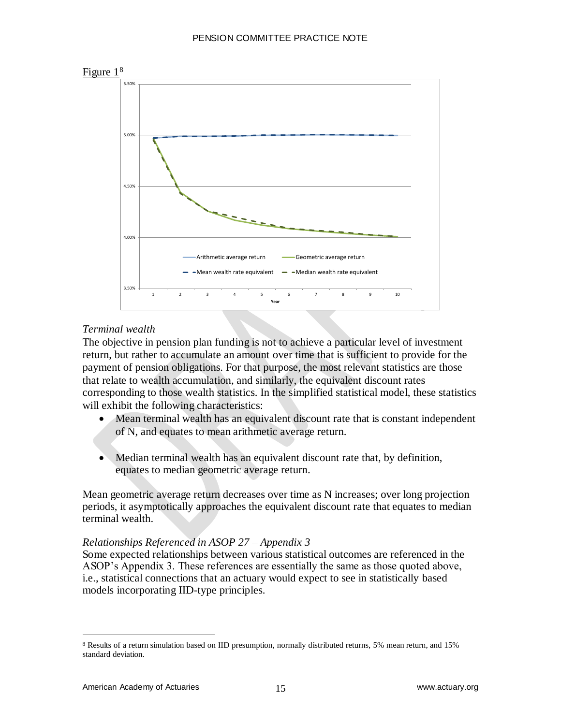

### *Terminal wealth*

The objective in pension plan funding is not to achieve a particular level of investment return, but rather to accumulate an amount over time that is sufficient to provide for the payment of pension obligations. For that purpose, the most relevant statistics are those that relate to wealth accumulation, and similarly, the equivalent discount rates corresponding to those wealth statistics. In the simplified statistical model, these statistics will exhibit the following characteristics:

- Mean terminal wealth has an equivalent discount rate that is constant independent of N, and equates to mean arithmetic average return.
- Median terminal wealth has an equivalent discount rate that, by definition, equates to median geometric average return.

Mean geometric average return decreases over time as N increases; over long projection periods, it asymptotically approaches the equivalent discount rate that equates to median terminal wealth.

#### *Relationships Referenced in ASOP 27 – Appendix 3*

Some expected relationships between various statistical outcomes are referenced in the ASOP's Appendix 3. These references are essentially the same as those quoted above, i.e., statistical connections that an actuary would expect to see in statistically based models incorporating IID-type principles.

<sup>8</sup> Results of a return simulation based on IID presumption, normally distributed returns, 5% mean return, and 15% standard deviation.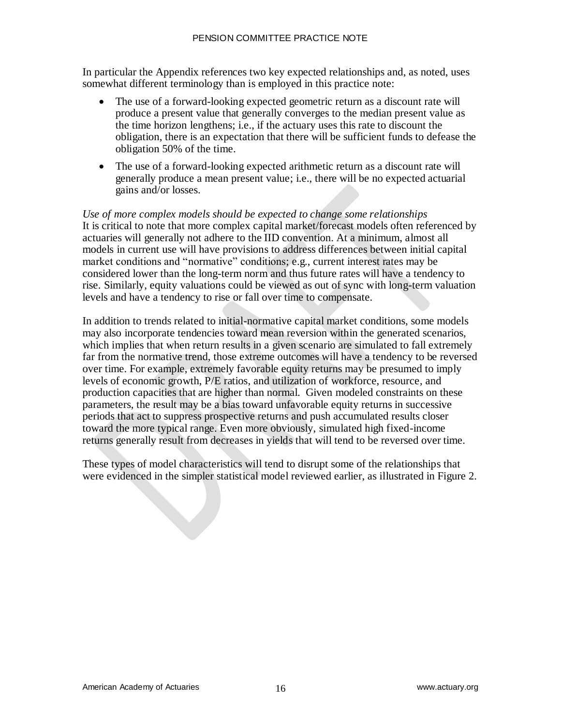In particular the Appendix references two key expected relationships and, as noted, uses somewhat different terminology than is employed in this practice note:

- The use of a forward-looking expected geometric return as a discount rate will produce a present value that generally converges to the median present value as the time horizon lengthens; i.e., if the actuary uses this rate to discount the obligation, there is an expectation that there will be sufficient funds to defease the obligation 50% of the time.
- The use of a forward-looking expected arithmetic return as a discount rate will generally produce a mean present value; i.e., there will be no expected actuarial gains and/or losses.

*Use of more complex models should be expected to change some relationships* It is critical to note that more complex capital market/forecast models often referenced by actuaries will generally not adhere to the IID convention. At a minimum, almost all models in current use will have provisions to address differences between initial capital market conditions and "normative" conditions; e.g., current interest rates may be considered lower than the long-term norm and thus future rates will have a tendency to rise. Similarly, equity valuations could be viewed as out of sync with long-term valuation levels and have a tendency to rise or fall over time to compensate.

In addition to trends related to initial-normative capital market conditions, some models may also incorporate tendencies toward mean reversion within the generated scenarios, which implies that when return results in a given scenario are simulated to fall extremely far from the normative trend, those extreme outcomes will have a tendency to be reversed over time. For example, extremely favorable equity returns may be presumed to imply levels of economic growth, P/E ratios, and utilization of workforce, resource, and production capacities that are higher than normal. Given modeled constraints on these parameters, the result may be a bias toward unfavorable equity returns in successive periods that act to suppress prospective returns and push accumulated results closer toward the more typical range. Even more obviously, simulated high fixed-income returns generally result from decreases in yields that will tend to be reversed over time.

These types of model characteristics will tend to disrupt some of the relationships that were evidenced in the simpler statistical model reviewed earlier, as illustrated in Figure 2.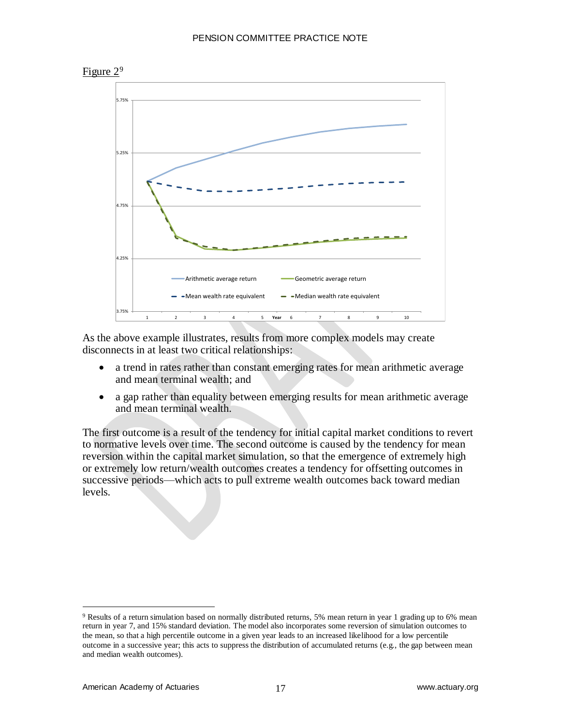

As the above example illustrates, results from more complex models may create disconnects in at least two critical relationships:

- a trend in rates rather than constant emerging rates for mean arithmetic average and mean terminal wealth; and
- a gap rather than equality between emerging results for mean arithmetic average and mean terminal wealth.

The first outcome is a result of the tendency for initial capital market conditions to revert to normative levels over time. The second outcome is caused by the tendency for mean reversion within the capital market simulation, so that the emergence of extremely high or extremely low return/wealth outcomes creates a tendency for offsetting outcomes in successive periods—which acts to pull extreme wealth outcomes back toward median levels.

<sup>9</sup> Results of a return simulation based on normally distributed returns, 5% mean return in year 1 grading up to 6% mean return in year 7, and 15% standard deviation. The model also incorporates some reversion of simulation outcomes to the mean, so that a high percentile outcome in a given year leads to an increased likelihood for a low percentile outcome in a successive year; this acts to suppress the distribution of accumulated returns (e.g., the gap between mean and median wealth outcomes).